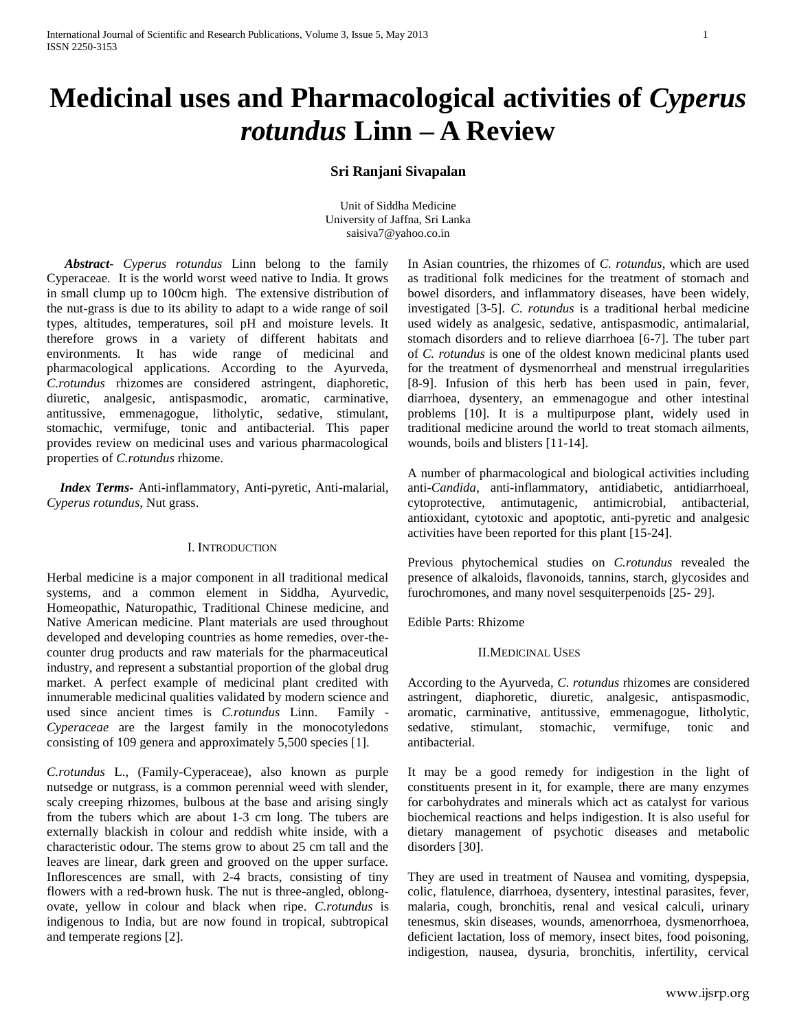# **Medicinal uses and Pharmacological activities of** *Cyperus rotundus* **Linn – A Review**

# **Sri Ranjani Sivapalan**

Unit of Siddha Medicine University of Jaffna, Sri Lanka saisiva7@yahoo.co.in

 *Abstract***-** *Cyperus rotundus* Linn belong to the family Cyperaceae*.* It is the world worst weed native to India. It grows in small clump up to 100cm high. The extensive distribution of the nut-grass is due to its ability to adapt to a wide range of soil types, altitudes, temperatures, soil pH and moisture levels. It therefore grows in a variety of different habitats and environments. It has wide range of medicinal and pharmacological applications. According to the Ayurveda, *C.rotundus* rhizomes are considered astringent, diaphoretic, diuretic, analgesic, antispasmodic, aromatic, carminative, antitussive, emmenagogue, litholytic, sedative, stimulant, stomachic, vermifuge, tonic and antibacterial. This paper provides review on medicinal uses and various pharmacological properties of *C.rotundus* rhizome.

 *Index Terms-* Anti-inflammatory, Anti-pyretic, Anti-malarial, *Cyperus rotundus,* Nut grass.

## I. INTRODUCTION

Herbal medicine is a major component in all traditional medical systems, and a common element in Siddha, Ayurvedic, Homeopathic, Naturopathic, Traditional Chinese medicine, and Native American medicine. Plant materials are used throughout developed and developing countries as home remedies, over-thecounter drug products and raw materials for the pharmaceutical industry, and represent a substantial proportion of the global drug market. A perfect example of medicinal plant credited with innumerable medicinal qualities validated by modern science and used since ancient times is *C.rotundus* Linn. Family - *Cyperaceae* are the largest family in the monocotyledons consisting of 109 genera and approximately 5,500 species [1].

*C.rotundus* L., (Family-Cyperaceae), also known as purple nutsedge or nutgrass, is a common perennial weed with slender, scaly creeping rhizomes, bulbous at the base and arising singly from the tubers which are about 1-3 cm long. The tubers are externally blackish in colour and reddish white inside, with a characteristic odour. The stems grow to about 25 cm tall and the leaves are linear, dark green and grooved on the upper surface. Inflorescences are small, with 2-4 bracts, consisting of tiny flowers with a red-brown husk. The nut is three-angled, oblongovate, yellow in colour and black when ripe. *C.rotundus* is indigenous to India, but are now found in tropical, subtropical and temperate regions [2].

In Asian countries, the rhizomes of *C. rotundus*, which are used as traditional folk medicines for the treatment of stomach and bowel disorders, and inflammatory diseases, have been widely, investigated [3-5]. *C*. *rotundus* is a traditional herbal medicine used widely as analgesic, sedative, antispasmodic, antimalarial, stomach disorders and to relieve diarrhoea [6-7]. The tuber part of *C. rotundus* is one of the oldest known medicinal plants used for the treatment of dysmenorrheal and menstrual irregularities [8-9]. Infusion of this herb has been used in pain, fever, diarrhoea, dysentery, an emmenagogue and other intestinal problems [10]. It is a multipurpose plant, widely used in traditional medicine around the world to treat stomach ailments, wounds, boils and blisters [11-14].

A number of pharmacological and biological activities including anti-*Candida*, anti-inflammatory, antidiabetic, antidiarrhoeal, cytoprotective, antimutagenic, antimicrobial, antibacterial, antioxidant, cytotoxic and apoptotic, anti-pyretic and analgesic activities have been reported for this plant [15-24].

Previous phytochemical studies on *C.rotundus* revealed the presence of alkaloids, flavonoids, tannins, starch, glycosides and furochromones, and many novel sesquiterpenoids [25- 29].

Edible Parts: Rhizome

## II.MEDICINAL USES

According to the Ayurveda, *C. rotundus* rhizomes are considered astringent, diaphoretic, diuretic, analgesic, antispasmodic, aromatic, carminative, antitussive, emmenagogue, litholytic, sedative, stimulant, stomachic, vermifuge, tonic and antibacterial.

It may be a good remedy for indigestion in the light of constituents present in it, for example, there are many enzymes for carbohydrates and minerals which act as catalyst for various biochemical reactions and helps indigestion. It is also useful for dietary management of psychotic diseases and metabolic disorders [30].

They are used in treatment of Nausea and vomiting, dyspepsia, colic, flatulence, diarrhoea, dysentery, intestinal parasites, fever, malaria, cough, bronchitis, renal and vesical calculi, urinary tenesmus, skin diseases, wounds, amenorrhoea, dysmenorrhoea, deficient lactation, loss of memory, insect bites, food poisoning, indigestion, nausea, dysuria, bronchitis, infertility, cervical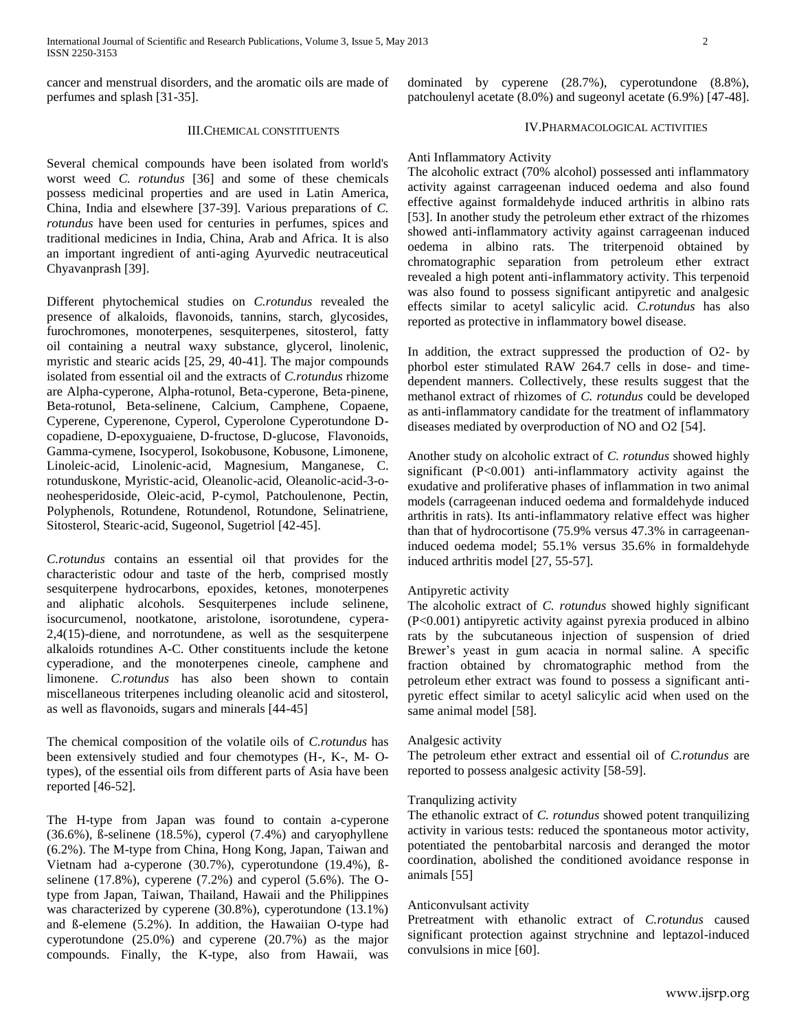cancer and menstrual disorders, and the aromatic oils are made of perfumes and splash [31-35].

dominated by cyperene (28.7%), cyperotundone (8.8%), patchoulenyl acetate (8.0%) and sugeonyl acetate (6.9%) [47-48].

## III.CHEMICAL CONSTITUENTS

Several chemical compounds have been isolated from world's worst weed *C. rotundus* [36] and some of these chemicals possess medicinal properties and are used in Latin America, China, India and elsewhere [37-39]. Various preparations of *C. rotundus* have been used for centuries in perfumes, spices and traditional medicines in India, China, Arab and Africa. It is also an important ingredient of anti-aging Ayurvedic neutraceutical Chyavanprash [39].

Different phytochemical studies on *C.rotundus* revealed the presence of alkaloids, flavonoids, tannins, starch, glycosides, furochromones, monoterpenes, sesquiterpenes, sitosterol, fatty oil containing a neutral waxy substance, glycerol, linolenic, myristic and stearic acids [25, 29, 40-41]. The major compounds isolated from essential oil and the extracts of *C.rotundus* rhizome are Alpha-cyperone, Alpha-rotunol, Beta-cyperone, Beta-pinene, Beta-rotunol, Beta-selinene, Calcium, Camphene, Copaene, Cyperene, Cyperenone, Cyperol, Cyperolone Cyperotundone Dcopadiene, D-epoxyguaiene, D-fructose, D-glucose, Flavonoids, Gamma-cymene, Isocyperol, Isokobusone, Kobusone, Limonene, Linoleic-acid, Linolenic-acid, Magnesium, Manganese, C. rotunduskone, Myristic-acid, Oleanolic-acid, Oleanolic-acid-3-oneohesperidoside, Oleic-acid, P-cymol, Patchoulenone, Pectin, Polyphenols, Rotundene, Rotundenol, Rotundone, Selinatriene, Sitosterol, Stearic-acid, Sugeonol, Sugetriol [42-45].

*C.rotundus* contains an essential oil that provides for the characteristic odour and taste of the herb, comprised mostly sesquiterpene hydrocarbons, epoxides, ketones, monoterpenes and aliphatic alcohols. Sesquiterpenes include selinene, isocurcumenol, nootkatone, aristolone, isorotundene, cypera-2,4(15)-diene, and norrotundene, as well as the sesquiterpene alkaloids rotundines A-C. Other constituents include the ketone cyperadione, and the monoterpenes cineole, camphene and limonene. *C.rotundus* has also been shown to contain miscellaneous triterpenes including oleanolic acid and sitosterol, as well as flavonoids, sugars and minerals [44-45]

The chemical composition of the volatile oils of *C.rotundus* has been extensively studied and four chemotypes (H-, K-, M- Otypes), of the essential oils from different parts of Asia have been reported [46-52].

The H-type from Japan was found to contain a-cyperone (36.6%), ß-selinene (18.5%), cyperol (7.4%) and caryophyllene (6.2%). The M-type from China, Hong Kong, Japan, Taiwan and Vietnam had a-cyperone (30.7%), cyperotundone (19.4%), ßselinene (17.8%), cyperene (7.2%) and cyperol (5.6%). The Otype from Japan, Taiwan, Thailand, Hawaii and the Philippines was characterized by cyperene (30.8%), cyperotundone (13.1%) and ß-elemene (5.2%). In addition, the Hawaiian O-type had cyperotundone (25.0%) and cyperene (20.7%) as the major compounds. Finally, the K-type, also from Hawaii, was

## IV.PHARMACOLOGICAL ACTIVITIES

## Anti Inflammatory Activity

The alcoholic extract (70% alcohol) possessed anti inflammatory activity against carrageenan induced oedema and also found effective against formaldehyde induced arthritis in albino rats [53]. In another study the petroleum ether extract of the rhizomes showed anti-inflammatory activity against carrageenan induced oedema in albino rats. The triterpenoid obtained by chromatographic separation from petroleum ether extract revealed a high potent anti-inflammatory activity. This terpenoid was also found to possess significant antipyretic and analgesic effects similar to acetyl salicylic acid. *C.rotundus* has also reported as protective in inflammatory bowel disease.

In addition, the extract suppressed the production of O2- by phorbol ester stimulated RAW 264.7 cells in dose- and timedependent manners. Collectively, these results suggest that the methanol extract of rhizomes of *C. rotundus* could be developed as anti-inflammatory candidate for the treatment of inflammatory diseases mediated by overproduction of NO and O2 [54].

Another study on alcoholic extract of *C. rotundus* showed highly significant (P<0.001) anti-inflammatory activity against the exudative and proliferative phases of inflammation in two animal models (carrageenan induced oedema and formaldehyde induced arthritis in rats). Its anti-inflammatory relative effect was higher than that of hydrocortisone (75.9% versus 47.3% in carrageenaninduced oedema model; 55.1% versus 35.6% in formaldehyde induced arthritis model [27, 55-57].

#### Antipyretic activity

The alcoholic extract of *C. rotundus* showed highly significant (P<0.001) antipyretic activity against pyrexia produced in albino rats by the subcutaneous injection of suspension of dried Brewer's yeast in gum acacia in normal saline. A specific fraction obtained by chromatographic method from the petroleum ether extract was found to possess a significant antipyretic effect similar to acetyl salicylic acid when used on the same animal model [58].

#### Analgesic activity

The petroleum ether extract and essential oil of *C.rotundus* are reported to possess analgesic activity [58-59].

## Tranqulizing activity

The ethanolic extract of *C. rotundus* showed potent tranquilizing activity in various tests: reduced the spontaneous motor activity, potentiated the pentobarbital narcosis and deranged the motor coordination, abolished the conditioned avoidance response in animals [55]

## Anticonvulsant activity

Pretreatment with ethanolic extract of *C.rotundus* caused significant protection against strychnine and leptazol-induced convulsions in mice [60].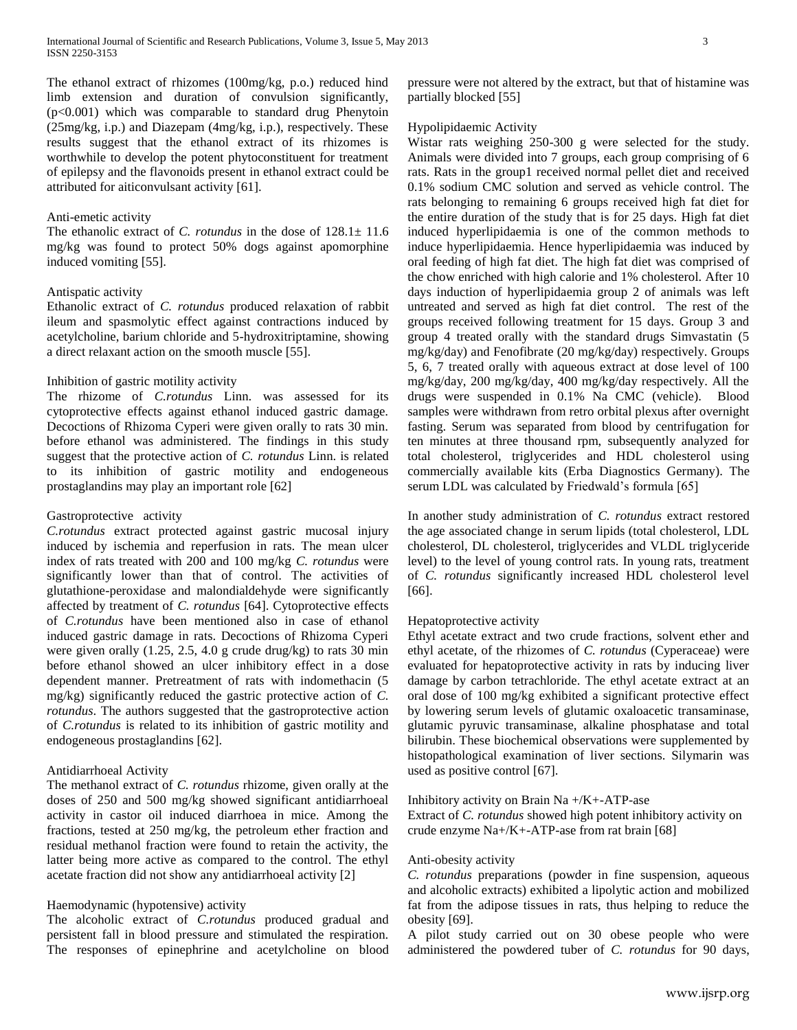The ethanol extract of rhizomes (100mg/kg, p.o.) reduced hind limb extension and duration of convulsion significantly, (p<0.001) which was comparable to standard drug Phenytoin (25mg/kg, i.p.) and Diazepam (4mg/kg, i.p.), respectively. These results suggest that the ethanol extract of its rhizomes is worthwhile to develop the potent phytoconstituent for treatment of epilepsy and the flavonoids present in ethanol extract could be attributed for aiticonvulsant activity [61].

## Anti-emetic activity

The ethanolic extract of *C. rotundus* in the dose of 128.1± 11.6 mg/kg was found to protect 50% dogs against apomorphine induced vomiting [55].

# Antispatic activity

Ethanolic extract of *C. rotundus* produced relaxation of rabbit ileum and spasmolytic effect against contractions induced by acetylcholine, barium chloride and 5-hydroxitriptamine, showing a direct relaxant action on the smooth muscle [55].

## Inhibition of gastric motility activity

The rhizome of *C.rotundus* Linn. was assessed for its cytoprotective effects against ethanol induced gastric damage. Decoctions of Rhizoma Cyperi were given orally to rats 30 min. before ethanol was administered. The findings in this study suggest that the protective action of *C. rotundus* Linn. is related to its inhibition of gastric motility and endogeneous prostaglandins may play an important role [62]

#### Gastroprotective activity

*C.rotundus* extract protected against gastric mucosal injury induced by ischemia and reperfusion in rats. The mean ulcer index of rats treated with 200 and 100 mg/kg *C. rotundus* were significantly lower than that of control. The activities of glutathione-peroxidase and malondialdehyde were significantly affected by treatment of *C. rotundus* [64]. Cytoprotective effects of *C.rotundus* have been mentioned also in case of ethanol induced gastric damage in rats. Decoctions of Rhizoma Cyperi were given orally (1.25, 2.5, 4.0 g crude drug/kg) to rats 30 min before ethanol showed an ulcer inhibitory effect in a dose dependent manner. Pretreatment of rats with indomethacin (5 mg/kg) significantly reduced the gastric protective action of *C. rotundus*. The authors suggested that the gastroprotective action of *C.rotundus* is related to its inhibition of gastric motility and endogeneous prostaglandins [62].

## Antidiarrhoeal Activity

The methanol extract of *C. rotundus* rhizome, given orally at the doses of 250 and 500 mg/kg showed significant antidiarrhoeal activity in castor oil induced diarrhoea in mice. Among the fractions, tested at 250 mg/kg, the petroleum ether fraction and residual methanol fraction were found to retain the activity, the latter being more active as compared to the control. The ethyl acetate fraction did not show any antidiarrhoeal activity [2]

## Haemodynamic (hypotensive) activity

The alcoholic extract of *C.rotundus* produced gradual and persistent fall in blood pressure and stimulated the respiration. The responses of epinephrine and acetylcholine on blood pressure were not altered by the extract, but that of histamine was partially blocked [55]

# Hypolipidaemic Activity

Wistar rats weighing 250-300 g were selected for the study. Animals were divided into 7 groups, each group comprising of 6 rats. Rats in the group1 received normal pellet diet and received 0.1% sodium CMC solution and served as vehicle control. The rats belonging to remaining 6 groups received high fat diet for the entire duration of the study that is for 25 days. High fat diet induced hyperlipidaemia is one of the common methods to induce hyperlipidaemia. Hence hyperlipidaemia was induced by oral feeding of high fat diet. The high fat diet was comprised of the chow enriched with high calorie and 1% cholesterol. After 10 days induction of hyperlipidaemia group 2 of animals was left untreated and served as high fat diet control. The rest of the groups received following treatment for 15 days. Group 3 and group 4 treated orally with the standard drugs Simvastatin (5 mg/kg/day) and Fenofibrate (20 mg/kg/day) respectively. Groups 5, 6, 7 treated orally with aqueous extract at dose level of 100 mg/kg/day, 200 mg/kg/day, 400 mg/kg/day respectively. All the drugs were suspended in 0.1% Na CMC (vehicle). Blood samples were withdrawn from retro orbital plexus after overnight fasting. Serum was separated from blood by centrifugation for ten minutes at three thousand rpm, subsequently analyzed for total cholesterol, triglycerides and HDL cholesterol using commercially available kits (Erba Diagnostics Germany). The serum LDL was calculated by Friedwald's formula [65]

In another study administration of *C. rotundus* extract restored the age associated change in serum lipids (total cholesterol, LDL cholesterol, DL cholesterol, triglycerides and VLDL triglyceride level) to the level of young control rats. In young rats, treatment of *C. rotundus* significantly increased HDL cholesterol level [66].

#### Hepatoprotective activity

Ethyl acetate extract and two crude fractions, solvent ether and ethyl acetate, of the rhizomes of *C. rotundus* (Cyperaceae) were evaluated for hepatoprotective activity in rats by inducing liver damage by carbon tetrachloride. The ethyl acetate extract at an oral dose of 100 mg/kg exhibited a significant protective effect by lowering serum levels of glutamic oxaloacetic transaminase, glutamic pyruvic transaminase, alkaline phosphatase and total bilirubin. These biochemical observations were supplemented by histopathological examination of liver sections. Silymarin was used as positive control [67].

Inhibitory activity on Brain Na +/K+-ATP-ase Extract of *C. rotundus* showed high potent inhibitory activity on crude enzyme Na+/K+-ATP-ase from rat brain [68]

## Anti-obesity activity

*C. rotundus* preparations (powder in fine suspension, aqueous and alcoholic extracts) exhibited a lipolytic action and mobilized fat from the adipose tissues in rats, thus helping to reduce the obesity [69].

A pilot study carried out on 30 obese people who were administered the powdered tuber of *C. rotundus* for 90 days,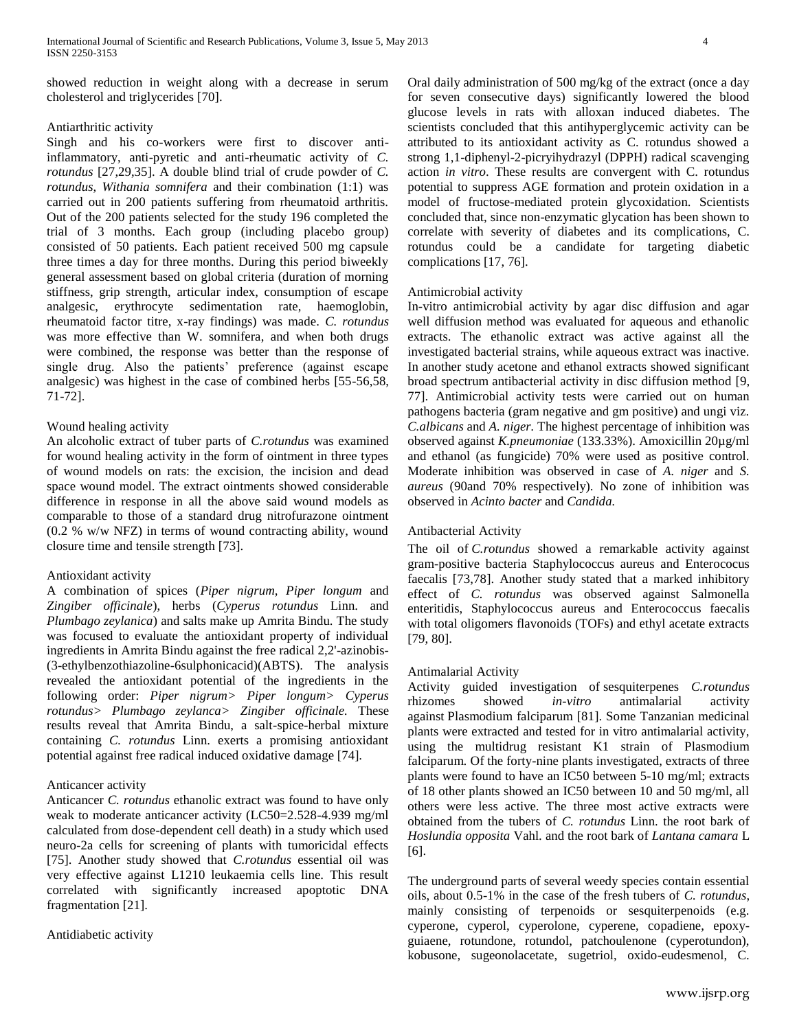showed reduction in weight along with a decrease in serum cholesterol and triglycerides [70].

# Antiarthritic activity

Singh and his co-workers were first to discover antiinflammatory, anti-pyretic and anti-rheumatic activity of *C. rotundus* [27,29,35]. A double blind trial of crude powder of *C. rotundus*, *Withania somnifera* and their combination (1:1) was carried out in 200 patients suffering from rheumatoid arthritis. Out of the 200 patients selected for the study 196 completed the trial of 3 months. Each group (including placebo group) consisted of 50 patients. Each patient received 500 mg capsule three times a day for three months. During this period biweekly general assessment based on global criteria (duration of morning stiffness, grip strength, articular index, consumption of escape analgesic, erythrocyte sedimentation rate, haemoglobin, rheumatoid factor titre, x-ray findings) was made. *C. rotundus* was more effective than W. somnifera, and when both drugs were combined, the response was better than the response of single drug. Also the patients' preference (against escape analgesic) was highest in the case of combined herbs [55-56,58, 71-72].

# Wound healing activity

An alcoholic extract of tuber parts of *C.rotundus* was examined for wound healing activity in the form of ointment in three types of wound models on rats: the excision, the incision and dead space wound model. The extract ointments showed considerable difference in response in all the above said wound models as comparable to those of a standard drug nitrofurazone ointment (0.2 % w/w NFZ) in terms of wound contracting ability, wound closure time and tensile strength [73].

# Antioxidant activity

A combination of spices (*Piper nigrum, Piper longum* and *Zingiber officinale*), herbs (*Cyperus rotundus* Linn. and *Plumbago zeylanica*) and salts make up Amrita Bindu. The study was focused to evaluate the antioxidant property of individual ingredients in Amrita Bindu against the free radical 2,2'-azinobis- (3-ethylbenzothiazoline-6sulphonicacid)(ABTS). The analysis revealed the antioxidant potential of the ingredients in the following order: *Piper nigrum> Piper longum> Cyperus rotundus> Plumbago zeylanca> Zingiber officinale.* These results reveal that Amrita Bindu, a salt-spice-herbal mixture containing *C. rotundus* Linn. exerts a promising antioxidant potential against free radical induced oxidative damage [74].

# Anticancer activity

Anticancer *C. rotundus* ethanolic extract was found to have only weak to moderate anticancer activity (LC50=2.528-4.939 mg/ml calculated from dose-dependent cell death) in a study which used neuro-2a cells for screening of plants with tumoricidal effects [75]. Another study showed that *C.rotundus* essential oil was very effective against L1210 leukaemia cells line. This result correlated with significantly increased apoptotic DNA fragmentation [21].

Antidiabetic activity

Oral daily administration of 500 mg/kg of the extract (once a day for seven consecutive days) significantly lowered the blood glucose levels in rats with alloxan induced diabetes. The scientists concluded that this antihyperglycemic activity can be attributed to its antioxidant activity as C. rotundus showed a strong 1,1-diphenyl-2-picryihydrazyl (DPPH) radical scavenging action *in vitro*. These results are convergent with C. rotundus potential to suppress AGE formation and protein oxidation in a model of fructose-mediated protein glycoxidation. Scientists concluded that, since non-enzymatic glycation has been shown to correlate with severity of diabetes and its complications, C. rotundus could be a candidate for targeting diabetic complications [17, 76].

# Antimicrobial activity

In-vitro antimicrobial activity by agar disc diffusion and agar well diffusion method was evaluated for aqueous and ethanolic extracts. The ethanolic extract was active against all the investigated bacterial strains, while aqueous extract was inactive. In another study acetone and ethanol extracts showed significant broad spectrum antibacterial activity in disc diffusion method [9, 77]. Antimicrobial activity tests were carried out on human pathogens bacteria (gram negative and gm positive) and ungi viz. *C.albicans* and *A. niger.* The highest percentage of inhibition was observed against *K.pneumoniae* (133.33%). Amoxicillin 20µg/ml and ethanol (as fungicide) 70% were used as positive control. Moderate inhibition was observed in case of *A. niger* and *S. aureus* (90and 70% respectively). No zone of inhibition was observed in *Acinto bacter* and *Candida.*

# Antibacterial Activity

The oil of *C.rotundus* showed a remarkable activity against gram-positive bacteria Staphylococcus aureus and Enterococus faecalis [73,78]. Another study stated that a marked inhibitory effect of *C. rotundus* was observed against Salmonella enteritidis, Staphylococcus aureus and Enterococcus faecalis with total oligomers flavonoids (TOFs) and ethyl acetate extracts [79, 80].

# Antimalarial Activity

Activity guided investigation of sesquiterpenes *C.rotundus* rhizomes showed *in-vitro* antimalarial activity against Plasmodium falciparum [81]. Some Tanzanian medicinal plants were extracted and tested for in vitro antimalarial activity, using the multidrug resistant K1 strain of Plasmodium falciparum*.* Of the forty-nine plants investigated, extracts of three plants were found to have an IC50 between 5-10 mg/ml; extracts of 18 other plants showed an IC50 between 10 and 50 mg/ml, all others were less active. The three most active extracts were obtained from the tubers of *C. rotundus* Linn. the root bark of *Hoslundia opposita* Vahl. and the root bark of *Lantana camara* L [6].

The underground parts of several weedy species contain essential oils, about 0.5-1% in the case of the fresh tubers of *C. rotundus*, mainly consisting of terpenoids or sesquiterpenoids (e.g. cyperone, cyperol, cyperolone, cyperene, copadiene, epoxyguiaene, rotundone, rotundol, patchoulenone (cyperotundon), kobusone, sugeonolacetate, sugetriol, oxido-eudesmenol, C.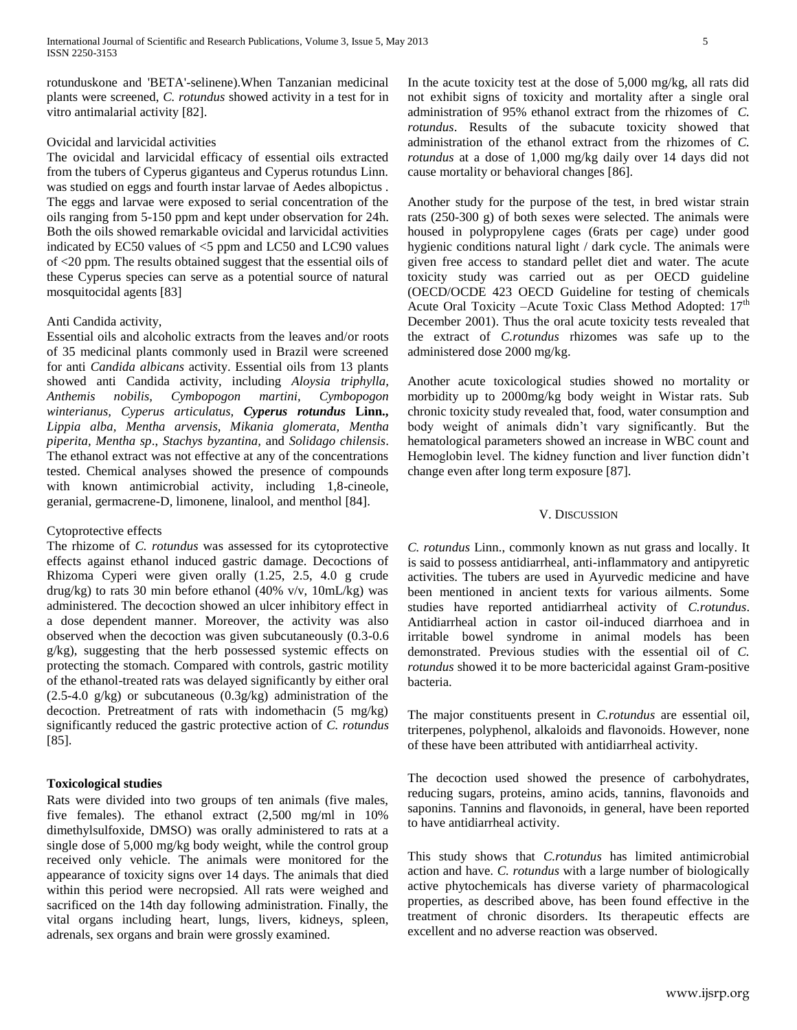rotunduskone and 'BETA'-selinene).When Tanzanian medicinal plants were screened, *C. rotundus* showed activity in a test for in vitro antimalarial activity [82].

# Ovicidal and larvicidal activities

The ovicidal and larvicidal efficacy of essential oils extracted from the tubers of Cyperus giganteus and Cyperus rotundus Linn. was studied on eggs and fourth instar larvae of Aedes albopictus . The eggs and larvae were exposed to serial concentration of the oils ranging from 5-150 ppm and kept under observation for 24h. Both the oils showed remarkable ovicidal and larvicidal activities indicated by EC50 values of <5 ppm and LC50 and LC90 values of <20 ppm. The results obtained suggest that the essential oils of these Cyperus species can serve as a potential source of natural mosquitocidal agents [83]

# Anti Candida activity,

Essential oils and alcoholic extracts from the leaves and/or roots of 35 medicinal plants commonly used in Brazil were screened for anti *Candida albicans* activity. Essential oils from 13 plants showed anti Candida activity, including *Aloysia triphylla, Anthemis nobilis, Cymbopogon martini, Cymbopogon winterianus, Cyperus articulatus, Cyperus rotundus* **Linn.,** *Lippia alba, Mentha arvensis, Mikania glomerata, Mentha piperita, Mentha sp*., *Stachys byzantina,* and *Solidago chilensis*. The ethanol extract was not effective at any of the concentrations tested. Chemical analyses showed the presence of compounds with known antimicrobial activity, including 1,8-cineole, geranial, germacrene-D, limonene, linalool, and menthol [84].

## Cytoprotective effects

The rhizome of *C. rotundus* was assessed for its cytoprotective effects against ethanol induced gastric damage. Decoctions of Rhizoma Cyperi were given orally (1.25, 2.5, 4.0 g crude drug/kg) to rats 30 min before ethanol (40% v/v, 10mL/kg) was administered. The decoction showed an ulcer inhibitory effect in a dose dependent manner. Moreover, the activity was also observed when the decoction was given subcutaneously (0.3-0.6 g/kg), suggesting that the herb possessed systemic effects on protecting the stomach. Compared with controls, gastric motility of the ethanol-treated rats was delayed significantly by either oral  $(2.5-4.0 \text{ g/kg})$  or subcutaneous  $(0.3g/kg)$  administration of the decoction. Pretreatment of rats with indomethacin (5 mg/kg) significantly reduced the gastric protective action of *C. rotundus* [85].

# **Toxicological studies**

Rats were divided into two groups of ten animals (five males, five females). The ethanol extract (2,500 mg/ml in 10% dimethylsulfoxide, DMSO) was orally administered to rats at a single dose of 5,000 mg/kg body weight, while the control group received only vehicle. The animals were monitored for the appearance of toxicity signs over 14 days. The animals that died within this period were necropsied. All rats were weighed and sacrificed on the 14th day following administration. Finally, the vital organs including heart, lungs, livers, kidneys, spleen, adrenals, sex organs and brain were grossly examined.

In the acute toxicity test at the dose of 5,000 mg/kg, all rats did not exhibit signs of toxicity and mortality after a single oral administration of 95% ethanol extract from the rhizomes of *C. rotundus*. Results of the subacute toxicity showed that administration of the ethanol extract from the rhizomes of *C. rotundus* at a dose of 1,000 mg/kg daily over 14 days did not cause mortality or behavioral changes [86].

Another study for the purpose of the test, in bred wistar strain rats (250-300 g) of both sexes were selected. The animals were housed in polypropylene cages (6rats per cage) under good hygienic conditions natural light / dark cycle. The animals were given free access to standard pellet diet and water. The acute toxicity study was carried out as per OECD guideline (OECD/OCDE 423 OECD Guideline for testing of chemicals Acute Oral Toxicity –Acute Toxic Class Method Adopted: 17<sup>th</sup> December 2001). Thus the oral acute toxicity tests revealed that the extract of *C.rotundus* rhizomes was safe up to the administered dose 2000 mg/kg.

Another acute toxicological studies showed no mortality or morbidity up to 2000mg/kg body weight in Wistar rats. Sub chronic toxicity study revealed that, food, water consumption and body weight of animals didn't vary significantly. But the hematological parameters showed an increase in WBC count and Hemoglobin level. The kidney function and liver function didn't change even after long term exposure [87].

## V. DISCUSSION

*C. rotundus* Linn., commonly known as nut grass and locally. It is said to possess antidiarrheal, anti-inflammatory and antipyretic activities. The tubers are used in Ayurvedic medicine and have been mentioned in ancient texts for various ailments. Some studies have reported antidiarrheal activity of *C.rotundus*. Antidiarrheal action in castor oil-induced diarrhoea and in irritable bowel syndrome in animal models has been demonstrated. Previous studies with the essential oil of *C. rotundus* showed it to be more bactericidal against Gram-positive bacteria.

The major constituents present in *C.rotundus* are essential oil, triterpenes, polyphenol, alkaloids and flavonoids. However, none of these have been attributed with antidiarrheal activity.

The decoction used showed the presence of carbohydrates, reducing sugars, proteins, amino acids, tannins, flavonoids and saponins. Tannins and flavonoids, in general, have been reported to have antidiarrheal activity.

This study shows that *C.rotundus* has limited antimicrobial action and have. *C. rotundus* with a large number of biologically active phytochemicals has diverse variety of pharmacological properties, as described above, has been found effective in the treatment of chronic disorders. Its therapeutic effects are excellent and no adverse reaction was observed.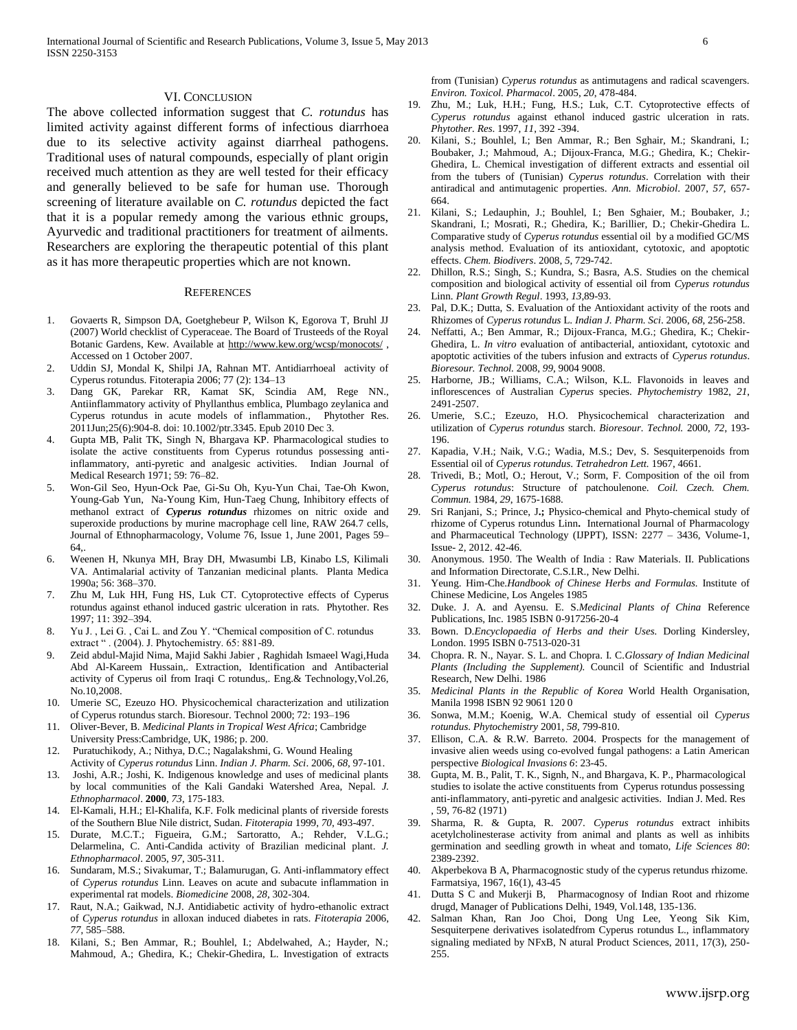#### VI. CONCLUSION

The above collected information suggest that *C. rotundus* has limited activity against different forms of infectious diarrhoea due to its selective activity against diarrheal pathogens. Traditional uses of natural compounds, especially of plant origin received much attention as they are well tested for their efficacy and generally believed to be safe for human use. Thorough screening of literature available on *C. rotundus* depicted the fact that it is a popular remedy among the various ethnic groups, Ayurvedic and traditional practitioners for treatment of ailments. Researchers are exploring the therapeutic potential of this plant as it has more therapeutic properties which are not known.

#### **REFERENCES**

- 1. Govaerts R, Simpson DA, Goetghebeur P, Wilson K, Egorova T, Bruhl JJ (2007) World checklist of Cyperaceae. The Board of Trusteeds of the Royal Botanic Gardens, Kew. Available at<http://www.kew.org/wcsp/monocots/> , Accessed on 1 October 2007.
- 2. Uddin SJ, Mondal K, Shilpi JA, Rahnan MT. Antidiarrhoeal activity of Cyperus rotundus. Fitoterapia 2006; 77 (2): 134–13
- 3. [Dang GK,](http://www.ncbi.nlm.nih.gov/pubmed?term=Dang%20GK%5BAuthor%5D&cauthor=true&cauthor_uid=21132843) [Parekar RR,](http://www.ncbi.nlm.nih.gov/pubmed?term=Parekar%20RR%5BAuthor%5D&cauthor=true&cauthor_uid=21132843) [Kamat SK,](http://www.ncbi.nlm.nih.gov/pubmed?term=Kamat%20SK%5BAuthor%5D&cauthor=true&cauthor_uid=21132843) [Scindia AM,](http://www.ncbi.nlm.nih.gov/pubmed?term=Scindia%20AM%5BAuthor%5D&cauthor=true&cauthor_uid=21132843) [Rege NN.,](http://www.ncbi.nlm.nih.gov/pubmed?term=Rege%20NN%5BAuthor%5D&cauthor=true&cauthor_uid=21132843) Antiinflammatory activity of Phyllanthus emblica, Plumbago zeylanica and Cyperus rotundus in acute models of inflammation., [Phytother Res.](http://www.ncbi.nlm.nih.gov/pubmed/21132843) 2011Jun;25(6):904-8. doi: 10.1002/ptr.3345. Epub 2010 Dec 3.
- 4. Gupta MB, Palit TK, Singh N, Bhargava KP. Pharmacological studies to isolate the active constituents from Cyperus rotundus possessing antiinflammatory, anti-pyretic and analgesic activities. Indian Journal of Medical Research 1971; 59: 76–82.
- 5. [Won-Gil Seo, Hyun-Ock Pae, Gi-Su Oh, Kyu-Yun Chai, Tae-Oh Kwon,](http://www.sciencedirect.com/science/article/pii/S0378874101002215)  [Young-Gab Yun, Na-Young Kim, Hun-Taeg Chung,](http://www.sciencedirect.com/science/article/pii/S0378874101002215) Inhibitory effects of methanol extract of *Cyperus rotundus* rhizomes on nitric oxide and superoxide productions by murine macrophage cell line, RAW 264.7 cells, [Journal of Ethnopharmacology,](http://www.sciencedirect.com/science/journal/03788741) [Volume 76, Issue 1,](http://www.sciencedirect.com/science/journal/03788741/76/1) June 2001, Pages 59– 64,.
- 6. Weenen H, Nkunya MH, Bray DH, Mwasumbi LB, Kinabo LS, Kilimali VA. Antimalarial activity of Tanzanian medicinal plants. Planta Medica 1990a; 56: 368–370.
- 7. Zhu M, Luk HH, Fung HS, Luk CT. Cytoprotective effects of Cyperus rotundus against ethanol induced gastric ulceration in rats. Phytother. Res 1997; 11: 392–394.
- 8. Yu J. , Lei G. , Cai L. and Zou Y. "Chemical composition of C. rotundus extract " . (2004). J. Phytochemistry. 65: 881-89.
- 9. Zeid abdul-Majid Nima, Majid Sakhi Jabier , Raghidah Ismaeel Wagi,Huda Abd Al-Kareem Hussain,. Extraction, Identification and Antibacterial activity of Cyperus oil from Iraqi C rotundus,. Eng.& Technology,Vol.26, No.10,2008.
- 10. Umerie SC, Ezeuzo HO. Physicochemical characterization and utilization of Cyperus rotundus starch. Bioresour. Technol 2000; 72: 193–196
- 11. Oliver-Bever, B. *Medicinal Plants in Tropical West Africa*; Cambridge University Press:Cambridge, UK, 1986; p. 200.
- 12. Puratuchikody, A.; Nithya, D.C.; Nagalakshmi, G. Wound Healing Activity of *Cyperus rotundus* Linn. *Indian J. Pharm. Sci*. 2006, *68*, 97-101.
- 13. Joshi, A.R.; Joshi, K. Indigenous knowledge and uses of medicinal plants by local communities of the Kali Gandaki Watershed Area, Nepal. *J. Ethnopharmacol*. **2000**, *73*, 175-183.
- 14. El-Kamali, H.H.; El-Khalifa, K.F. Folk medicinal plants of riverside forests of the Southern Blue Nile district, Sudan. *Fitoterapia* 1999, *70*, 493-497.
- 15. Durate, M.C.T.; Figueira, G.M.; Sartoratto, A.; Rehder, V.L.G.; Delarmelina, C. Anti-Candida activity of Brazilian medicinal plant. *J. Ethnopharmacol*. 2005, *97*, 305-311.
- 16. Sundaram, M.S.; Sivakumar, T.; Balamurugan, G. Anti-inflammatory effect of *Cyperus rotundus* Linn. Leaves on acute and subacute inflammation in experimental rat models. *Biomedicine* 2008, *28*, 302-304.
- 17. Raut, N.A.; Gaikwad, N.J. Antidiabetic activity of hydro-ethanolic extract of *Cyperus rotundus* in alloxan induced diabetes in rats. *Fitoterapia* 2006, *77*, 585–588.
- 18. Kilani, S.; Ben Ammar, R.; Bouhlel, I.; Abdelwahed, A.; Hayder, N.; Mahmoud, A.; Ghedira, K.; Chekir-Ghedira, L. Investigation of extracts

from (Tunisian) *Cyperus rotundus* as antimutagens and radical scavengers*. Environ. Toxicol. Pharmacol*. 2005, *20*, 478-484.

- 19. Zhu, M.; Luk, H.H.; Fung, H.S.; Luk, C.T. Cytoprotective effects of *Cyperus rotundus* against ethanol induced gastric ulceration in rats. *Phytother. Res*. 1997, *11*, 392 -394.
- 20. Kilani, S.; Bouhlel, I.; Ben Ammar, R.; Ben Sghair, M.; Skandrani, I.; Boubaker, J.; Mahmoud, A.; Dijoux-Franca, M.G.; Ghedira, K.; Chekir-Ghedira, L. Chemical investigation of different extracts and essential oil from the tubers of (Tunisian) *Cyperus rotundus*. Correlation with their antiradical and antimutagenic properties. *Ann. Microbiol*. 2007, *57*, 657- 664.
- 21. Kilani, S.; Ledauphin, J.; Bouhlel, I.; Ben Sghaier, M.; Boubaker, J.; Skandrani, I.; Mosrati, R.; Ghedira, K.; Barillier, D.; Chekir-Ghedira L. Comparative study of *Cyperus rotundus* essential oil by a modified GC/MS analysis method. Evaluation of its antioxidant, cytotoxic, and apoptotic effects. *Chem. Biodivers*. 2008, *5*, 729-742.
- 22. Dhillon, R.S.; Singh, S.; Kundra, S.; Basra, A.S. Studies on the chemical composition and biological activity of essential oil from *Cyperus rotundus* Linn. *Plant Growth Regul*. 1993, *13*,89-93.
- 23. Pal, D.K.; Dutta, S. Evaluation of the Antioxidant activity of the roots and Rhizomes of *Cyperus rotundus* L. *Indian J. Pharm. Sci*. 2006, *68*, 256-258.
- 24. Neffatti, A.; Ben Ammar, R.; Dijoux-Franca, M.G.; Ghedira, K.; Chekir-Ghedira, L. *In vitro* evaluation of antibacterial, antioxidant, cytotoxic and apoptotic activities of the tubers infusion and extracts of *Cyperus rotundus*. *Bioresour. Technol.* 2008, *99*, 9004 9008.
- 25. Harborne, JB.; Williams, C.A.; Wilson, K.L. Flavonoids in leaves and inflorescences of Australian *Cyperus* species. *Phytochemistry* 1982, *21*, 2491-2507.
- 26. Umerie, S.C.; Ezeuzo, H.O. Physicochemical characterization and utilization of *Cyperus rotundus* starch. *Bioresour. Technol.* 2000, *72*, 193- 196.
- 27. Kapadia, V.H.; Naik, V.G.; Wadia, M.S.; Dev, S. Sesquiterpenoids from Essential oil of *Cyperus rotundus*. *Tetrahedron Lett.* 1967, 4661.
- 28. Trivedi, B.; Motl, O.; Herout, V.; Sorm, F. Composition of the oil from *Cyperus rotundus*: Structure of patchoulenone. *Coil. Czech. Chem. Commun.* 1984*, 29*, 1675-1688.
- 29. Sri Ranjani, S.; Prince, J**.;** Physico-chemical and Phyto-chemical study of rhizome of Cyperus rotundus Linn**.** International Journal of Pharmacology and Pharmaceutical Technology (IJPPT), ISSN: 2277 – 3436, Volume-1, Issue- 2, 2012. 42-46.
- Anonymous. 1950. The Wealth of India : Raw Materials. II. Publications and Information Directorate, C.S.I.R., New Delhi.
- 31. Yeung. Him-Che.*Handbook of Chinese Herbs and Formulas.* Institute of Chinese Medicine, Los Angeles 1985
- 32. Duke. J. A. and Ayensu. E. S.*Medicinal Plants of China* Reference Publications, Inc. 1985 ISBN 0-917256-20-4
- 33. Bown. D.*Encyclopaedia of Herbs and their Uses.* Dorling Kindersley, London. 1995 ISBN 0-7513-020-31
- 34. Chopra. R. N., Nayar. S. L. and Chopra. I. C.*Glossary of Indian Medicinal Plants (Including the Supplement).* Council of Scientific and Industrial Research, New Delhi. 1986
- 35. *Medicinal Plants in the Republic of Korea* World Health Organisation, Manila 1998 ISBN 92 9061 120 0
- 36. Sonwa, M.M.; Koenig, W.A. Chemical study of essential oil *Cyperus rotundus*. *Phytochemistry* 2001, *58*, 799-810.
- 37. Ellison, C.A. & R.W. Barreto. 2004. Prospects for the management of invasive alien weeds using co-evolved fungal pathogens: a Latin American perspective *Biological Invasions 6*: 23-45.
- 38. Gupta, M. B., Palit, T. K., Signh, N., and Bhargava, K. P., Pharmacological studies to isolate the active constituents from Cyperus rotundus possessing anti-inflammatory, anti-pyretic and analgesic activities. Indian J. Med. Res , 59, 76-82 (1971)
- 39. Sharma, R. & Gupta, R. 2007. *Cyperus rotundus* extract inhibits acetylcholinesterase activity from animal and plants as well as inhibits germination and seedling growth in wheat and tomato, *Life Sciences 80*: 2389-2392.
- 40. Akperbekova B A, Pharmacognostic study of the cyperus retundus rhizome. Farmatsiya, 1967, 16(1), 43-45
- 41. Dutta S C and Mukerji B, Pharmacognosy of Indian Root and rhizome drugd, Manager of Publications Delhi, 1949, Vol.148, 135-136.
- 42. Salman Khan, Ran Joo Choi, Dong Ung Lee, Yeong Sik Kim, Sesquiterpene derivatives isolatedfrom Cyperus rotundus L., inflammatory signaling mediated by NFxB, N atural Product Sciences, 2011, 17(3), 250- 255.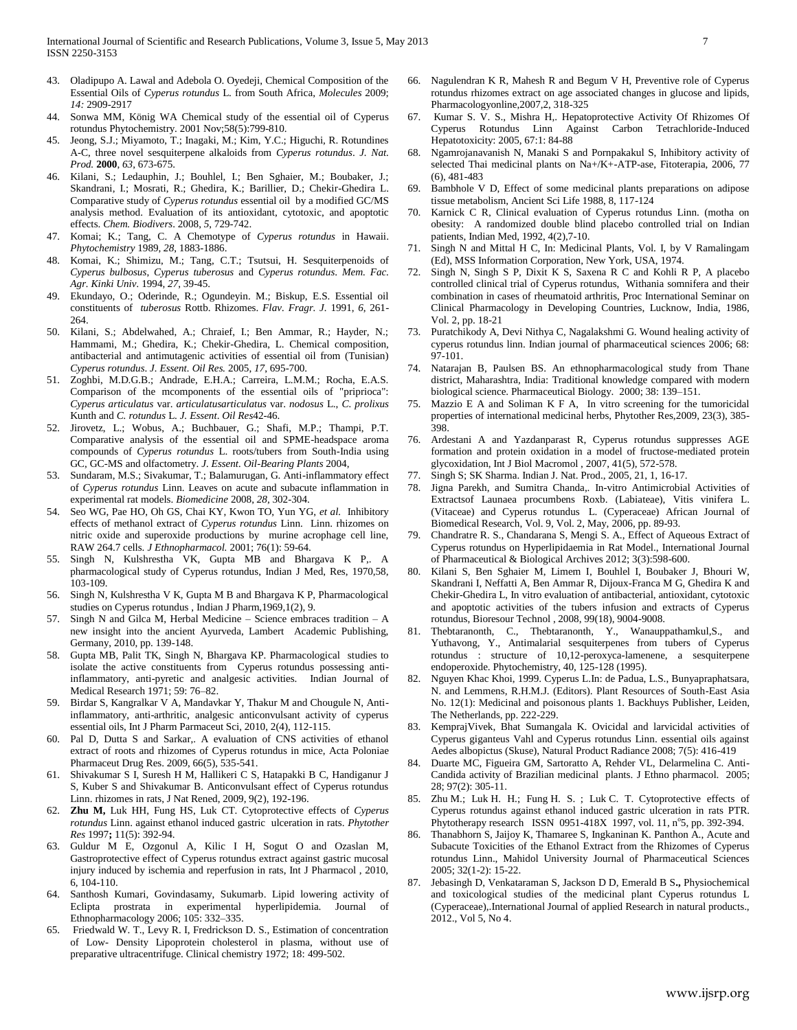- 43. Oladipupo A. Lawal and Adebola O. Oyedeji, Chemical Composition of the Essential Oils of *Cyperus rotundus* L. from South Africa, *Molecules* 2009; *14:* 2909-2917
- 44. [Sonwa MM,](http://www.ncbi.nlm.nih.gov/pubmed?term=Sonwa%20MM%5BAuthor%5D&cauthor=true&cauthor_uid=11672746) [König WA Chemical study of the essential oil of Cyperus](http://www.ncbi.nlm.nih.gov/pubmed?term=K%C3%B6nig%20WA%5BAuthor%5D&cauthor=true&cauthor_uid=11672746)  [rotundus](http://www.ncbi.nlm.nih.gov/pubmed?term=K%C3%B6nig%20WA%5BAuthor%5D&cauthor=true&cauthor_uid=11672746) [Phytochemistry.](http://www.ncbi.nlm.nih.gov/pubmed/11672746) 2001 Nov;58(5):799-810.
- 45. Jeong, S.J.; Miyamoto, T.; Inagaki, M.; Kim, Y.C.; Higuchi, R. Rotundines A-C, three novel sesquiterpene alkaloids from *Cyperus rotundus*. *J. Nat. Prod.* **2000**, *63*, 673-675.
- 46. Kilani, S.; Ledauphin, J.; Bouhlel, I.; Ben Sghaier, M.; Boubaker, J.; Skandrani, I.; Mosrati, R.; Ghedira, K.; Barillier, D.; Chekir-Ghedira L. Comparative study of *Cyperus rotundus* essential oil by a modified GC/MS analysis method. Evaluation of its antioxidant, cytotoxic, and apoptotic effects. *Chem. Biodivers*. 2008, *5*, 729-742.
- 47. Komai; K.; Tang, C. A Chemotype of *Cyperus rotundus* in Hawaii. *Phytochemistry* 1989, *28*, 1883-1886.
- 48. Komai, K.; Shimizu, M.; Tang, C.T.; Tsutsui, H. Sesquiterpenoids of *Cyperus bulbosus*, *Cyperus tuberosus* and *Cyperus rotundus*. *Mem. Fac. Agr. Kinki Univ.* 1994, *27*, 39-45.
- 49. Ekundayo, O.; Oderinde, R.; Ogundeyin. M.; Biskup, E.S. Essential oil constituents of *tuberosus* Rottb. Rhizomes. *Flav. Fragr. J.* 1991, *6*, 261- 264.
- 50. Kilani, S.; Abdelwahed, A.; Chraief, I.; Ben Ammar, R.; Hayder, N.; Hammami, M.; Ghedira, K.; Chekir-Ghedira, L. Chemical composition, antibacterial and antimutagenic activities of essential oil from (Tunisian) *Cyperus rotundus*. *J. Essent. Oil Res.* 2005, *17*, 695-700.
- 51. Zoghbi, M.D.G.B.; Andrade, E.H.A.; Carreira, L.M.M.; Rocha, E.A.S. Comparison of the mcomponents of the essential oils of "priprioca": *Cyperus articulatus* var. *articulatusarticulatus* var. *nodosus* L., *C. prolixus* Kunth and *C. rotundus* L. *J. Essent*. *Oil Res*42-46.
- 52. Jirovetz, L.; Wobus, A.; Buchbauer, G.; Shafi, M.P.; Thampi, P.T. Comparative analysis of the essential oil and SPME-headspace aroma compounds of *Cyperus rotundus* L. roots/tubers from South-India using GC, GC-MS and olfactometry. *J. Essent. Oil-Bearing Plants* 2004,
- 53. Sundaram, M.S.; Sivakumar, T.; Balamurugan, G. Anti-inflammatory effect of *Cyperus rotundus* Linn. Leaves on acute and subacute inflammation in experimental rat models. *Biomedicine* 2008, *28*, 302-304.
- 54. Seo WG, Pae HO, Oh GS, Chai KY, Kwon TO, Yun YG, *et al.* Inhibitory effects of methanol extract of *Cyperus rotundus* Linn. Linn. rhizomes on nitric oxide and superoxide productions by murine acrophage cell line, RAW 264.7 cells. *J Ethnopharmacol.* 2001; 76(1): 59-64.
- 55. Singh N, Kulshrestha VK, Gupta MB and Bhargava K P,. A pharmacological study of Cyperus rotundus, Indian J Med, Res, 1970,58, 103-109.
- 56. Singh N, Kulshrestha V K, Gupta M B and Bhargava K P, Pharmacological studies on Cyperus rotundus , Indian J Pharm,1969,1(2), 9.
- 57. Singh N and Gilca M, Herbal Medicine Science embraces tradition A new insight into the ancient Ayurveda, Lambert Academic Publishing, Germany, 2010, pp. 139-148.
- 58. Gupta MB, Palit TK, Singh N, Bhargava KP. Pharmacological studies to isolate the active constituents from Cyperus rotundus possessing antiinflammatory, anti-pyretic and analgesic activities. Indian Journal of Medical Research 1971; 59: 76–82.
- 59. Birdar S, Kangralkar V A, Mandavkar Y, Thakur M and Chougule N, Antiinflammatory, anti-arthritic, analgesic anticonvulsant activity of cyperus essential oils, Int J Pharm Parmaceut Sci, 2010, 2(4), 112-115.
- 60. Pal D, Dutta S and Sarkar,. A evaluation of CNS activities of ethanol extract of roots and rhizomes of Cyperus rotundus in mice, Acta Poloniae Pharmaceut Drug Res. 2009, 66(5), 535-541.
- 61. Shivakumar S I, Suresh H M, Hallikeri C S, Hatapakki B C, Handiganur J S, Kuber S and Shivakumar B. Anticonvulsant effect of Cyperus rotundus Linn. rhizomes in rats, J Nat Rened, 2009, 9(2), 192-196.
- 62. **Zhu M,** Luk HH, Fung HS, Luk CT. Cytoprotective effects of *Cyperus rotundus* Linn. against ethanol induced gastric ulceration in rats. *Phytother Res* 1997**;** 11(5): 392-94.
- 63. Guldur M E, Ozgonul A, Kilic I H, Sogut O and Ozaslan M, Gastroprotective effect of Cyperus rotundus extract against gastric mucosal injury induced by ischemia and reperfusion in rats, Int J Pharmacol , 2010, 6, 104-110.
- 64. Santhosh Kumari, Govindasamy, Sukumarb. Lipid lowering activity of Eclipta prostrata in experimental hyperlipidemia. Journal of Ethnopharmacology 2006; 105: 332–335.
- 65. Friedwald W. T., Levy R. I, Fredrickson D. S., Estimation of concentration of Low- Density Lipoprotein cholesterol in plasma, without use of preparative ultracentrifuge. Clinical chemistry 1972; 18: 499-502.
- 66. Nagulendran K R, Mahesh R and Begum V H, Preventive role of Cyperus rotundus rhizomes extract on age associated changes in glucose and lipids, Pharmacologyonline,2007,2, 318-325
- 67. [Kumar](http://www.ijpsonline.com/searchresult.asp?search=&author=S%2E+V+Suresh+Kumar&journal=Y&but_search=Search&entries=10&pg=1&s=0) S. V. [S., Mishra](http://www.ijpsonline.com/searchresult.asp?search=&author=S%2E+H+Mishra&journal=Y&but_search=Search&entries=10&pg=1&s=0) H,. Hepatoprotective Activity Of Rhizomes Of Cyperus Rotundus Linn Against Carbon Tetrachloride-Induced Hepatotoxicity: 2005, 67:1: 84-88
- 68. Ngamrojanavanish N, Manaki S and Pornpakakul S, Inhibitory activity of selected Thai medicinal plants on Na+/K+-ATP-ase, Fitoterapia, 2006, 77 (6), 481-483
- 69. Bambhole V D, Effect of some medicinal plants preparations on adipose tissue metabolism, Ancient Sci Life 1988, 8, 117-124
- Karnick C R, Clinical evaluation of Cyperus rotundus Linn. (motha on obesity: A randomized double blind placebo controlled trial on Indian patients, Indian Med, 1992, 4(2),7-10.
- 71. Singh N and Mittal H C, In: Medicinal Plants, Vol. I, by V Ramalingam (Ed), MSS Information Corporation, New York, USA, 1974.
- 72. Singh N, Singh S P, Dixit K S, Saxena R C and Kohli R P, A placebo controlled clinical trial of Cyperus rotundus, Withania somnifera and their combination in cases of rheumatoid arthritis, Proc International Seminar on Clinical Pharmacology in Developing Countries, Lucknow, India, 1986, Vol. 2, pp. 18-21
- 73. Puratchikody A, Devi Nithya C, Nagalakshmi G. Wound healing activity of cyperus rotundus linn. Indian journal of pharmaceutical sciences 2006; 68: 97-101.
- 74. Natarajan B, Paulsen BS. An ethnopharmacological study from Thane district, Maharashtra, India: Traditional knowledge compared with modern biological science. Pharmaceutical Biology. 2000; 38: 139–151.
- 75. Mazzio E A and Soliman K F A, In vitro screening for the tumoricidal properties of international medicinal herbs, Phytother Res,2009, 23(3), 385- 398.
- 76. Ardestani A and Yazdanparast R, Cyperus rotundus suppresses AGE formation and protein oxidation in a model of fructose-mediated protein glycoxidation, Int J Biol Macromol , 2007, 41(5), 572-578.
- 77. Singh S; SK Sharma. Indian J. Nat. Prod., 2005, 21, 1, 16-17.
- 78. Jigna Parekh, and Sumitra Chanda,. In-vitro Antimicrobial Activities of Extractsof Launaea procumbens Roxb. (Labiateae), Vitis vinifera L. (Vitaceae) and Cyperus rotundus L. (Cyperaceae) African Journal of Biomedical Research, Vol. 9, Vol. 2, May, 2006, pp. 89-93.
- 79. Chandratre R. S., Chandarana S, Mengi S. A., Effect of Aqueous Extract of Cyperus rotundus on Hyperlipidaemia in Rat Model., International Journal of Pharmaceutical & Biological Archives 2012; 3(3):598-600.
- 80. Kilani S, Ben Sghaier M, Limem I, Bouhlel I, Boubaker J, Bhouri W, Skandrani I, Neffatti A, Ben Ammar R, Dijoux-Franca M G, Ghedira K and Chekir-Ghedira L, In vitro evaluation of antibacterial, antioxidant, cytotoxic and apoptotic activities of the tubers infusion and extracts of Cyperus rotundus, Bioresour Technol , 2008, 99(18), 9004-9008.
- 81. Thebtaranonth, C., Thebtaranonth, Y., Wanauppathamkul,S., and Yuthavong, Y., Antimalarial sesquiterpenes from tubers of Cyperus rotundus : structure of 10,12-peroxyca-lamenene, a sesquiterpene endoperoxide. Phytochemistry, 40, 125-128 (1995).
- 82. Nguyen Khac Khoi, 1999. Cyperus L.In: de Padua, L.S., Bunyapraphatsara, N. and Lemmens, R.H.M.J. (Editors). Plant Resources of South-East Asia No. 12(1): Medicinal and poisonous plants 1. Backhuys Publisher, Leiden, The Netherlands, pp. 222-229.
- 83. KemprajVivek, Bhat Sumangala K. Ovicidal and larvicidal activities of Cyperus giganteus Vahl and Cyperus rotundus Linn. essential oils against Aedes albopictus (Skuse), Natural Product Radiance 2008; 7(5): 416-419
- 84. Duarte MC, Figueira GM, Sartoratto A, Rehder VL, Delarmelina C. Anti-Candida activity of Brazilian medicinal plants. J Ethno pharmacol. 2005; 28; 97(2): 305-11.
- 85. [Zhu](http://www.refdoc.fr/?traduire=en&FormRechercher=submit&FormRechercher_Txt_Recherche_name_attr=auteursNom:%20%28ZHU%29) M.; Luk [H. H.;](http://www.refdoc.fr/?traduire=en&FormRechercher=submit&FormRechercher_Txt_Recherche_name_attr=auteursNom:%20%28LUK%29) [Fung](http://www.refdoc.fr/?traduire=en&FormRechercher=submit&FormRechercher_Txt_Recherche_name_attr=auteursNom:%20%28FUNG%29) H. S. ; Luk [C. T.](http://www.refdoc.fr/?traduire=en&FormRechercher=submit&FormRechercher_Txt_Recherche_name_attr=auteursNom:%20%28LUK%29) Cytoprotective effects of Cyperus rotundus against ethanol induced gastric ulceration in rats [PTR.](http://www.refdoc.fr/?traduire=en&FormRechercher=submit&FormRechercher_Txt_Recherche_name_attr=listeTitreSerie:%20%28PTR.%20Phytotherapy%20research%29)  [Phytotherapy research](http://www.refdoc.fr/?traduire=en&FormRechercher=submit&FormRechercher_Txt_Recherche_name_attr=listeTitreSerie:%20%28PTR.%20Phytotherapy%20research%29) ISSN [0951-418X](http://www.refdoc.fr/?traduire=en&FormRechercher=submit&FormRechercher_Txt_Recherche_name_attr=identifiantsDoc:%20%280951-418X%29) 1997, vol. 11, nº5, pp. 392-394.
- Thanabhorn S, Jaijoy K, Thamaree S, Ingkaninan K. Panthon A., Acute and Subacute Toxicities of the Ethanol Extract from the Rhizomes of Cyperus rotundus Linn., Mahidol University Journal of Pharmaceutical Sciences 2005; 32(1-2): 15-22.
- 87. Jebasingh D, Venkataraman S, Jackson D D, Emerald B S**.,** Physiochemical and toxicological studies of the medicinal plant Cyperus rotundus L (Cyperaceae),.International Journal of applied Research in natural products., 2012., Vol 5, No 4.